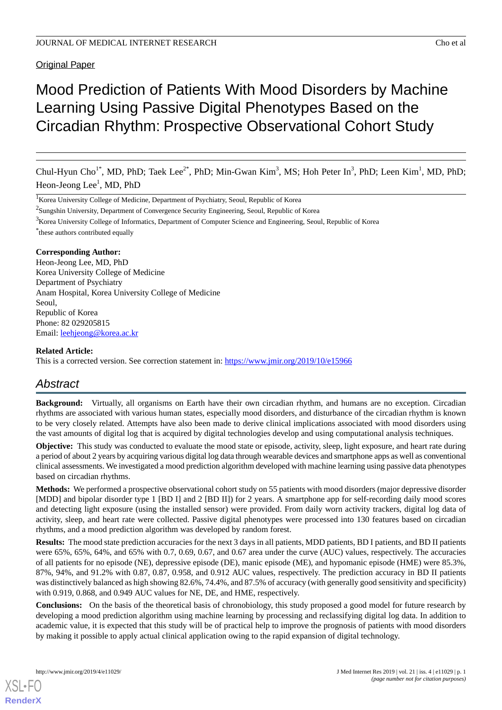## **Original Paper**

# Mood Prediction of Patients With Mood Disorders by Machine Learning Using Passive Digital Phenotypes Based on the Circadian Rhythm: Prospective Observational Cohort Study

Chul-Hyun Cho<sup>1\*</sup>, MD, PhD; Taek Lee<sup>2\*</sup>, PhD; Min-Gwan Kim<sup>3</sup>, MS; Hoh Peter In<sup>3</sup>, PhD; Leen Kim<sup>1</sup>, MD, PhD; Heon-Jeong Lee<sup>1</sup>, MD, PhD

<sup>1</sup>Korea University College of Medicine, Department of Psychiatry, Seoul, Republic of Korea

 $2$ Sungshin University, Department of Convergence Security Engineering, Seoul, Republic of Korea

<sup>3</sup>Korea University College of Informatics, Department of Computer Science and Engineering, Seoul, Republic of Korea

\* these authors contributed equally

#### **Corresponding Author:**

Heon-Jeong Lee, MD, PhD Korea University College of Medicine Department of Psychiatry Anam Hospital, Korea University College of Medicine Seoul, Republic of Korea Phone: 82 029205815 Email: [leehjeong@korea.ac.kr](mailto:leehjeong@korea.ac.kr)

#### **Related Article:**

This is a corrected version. See correction statement in: <https://www.jmir.org/2019/10/e15966>

## *Abstract*

**Background:** Virtually, all organisms on Earth have their own circadian rhythm, and humans are no exception. Circadian rhythms are associated with various human states, especially mood disorders, and disturbance of the circadian rhythm is known to be very closely related. Attempts have also been made to derive clinical implications associated with mood disorders using the vast amounts of digital log that is acquired by digital technologies develop and using computational analysis techniques.

**Objective:** This study was conducted to evaluate the mood state or episode, activity, sleep, light exposure, and heart rate during a period of about 2 years by acquiring various digital log data through wearable devices and smartphone apps as well as conventional clinical assessments. We investigated a mood prediction algorithm developed with machine learning using passive data phenotypes based on circadian rhythms.

**Methods:** We performed a prospective observational cohort study on 55 patients with mood disorders (major depressive disorder [MDD] and bipolar disorder type 1 [BD I] and 2 [BD II]) for 2 years. A smartphone app for self-recording daily mood scores and detecting light exposure (using the installed sensor) were provided. From daily worn activity trackers, digital log data of activity, sleep, and heart rate were collected. Passive digital phenotypes were processed into 130 features based on circadian rhythms, and a mood prediction algorithm was developed by random forest.

**Results:** The mood state prediction accuracies for the next 3 days in all patients, MDD patients, BD I patients, and BD II patients were 65%, 65%, 64%, and 65% with 0.7, 0.69, 0.67, and 0.67 area under the curve (AUC) values, respectively. The accuracies of all patients for no episode (NE), depressive episode (DE), manic episode (ME), and hypomanic episode (HME) were 85.3%, 87%, 94%, and 91.2% with 0.87, 0.87, 0.958, and 0.912 AUC values, respectively. The prediction accuracy in BD II patients was distinctively balanced as high showing 82.6%, 74.4%, and 87.5% of accuracy (with generally good sensitivity and specificity) with 0.919, 0.868, and 0.949 AUC values for NE, DE, and HME, respectively.

**Conclusions:** On the basis of the theoretical basis of chronobiology, this study proposed a good model for future research by developing a mood prediction algorithm using machine learning by processing and reclassifying digital log data. In addition to academic value, it is expected that this study will be of practical help to improve the prognosis of patients with mood disorders by making it possible to apply actual clinical application owing to the rapid expansion of digital technology.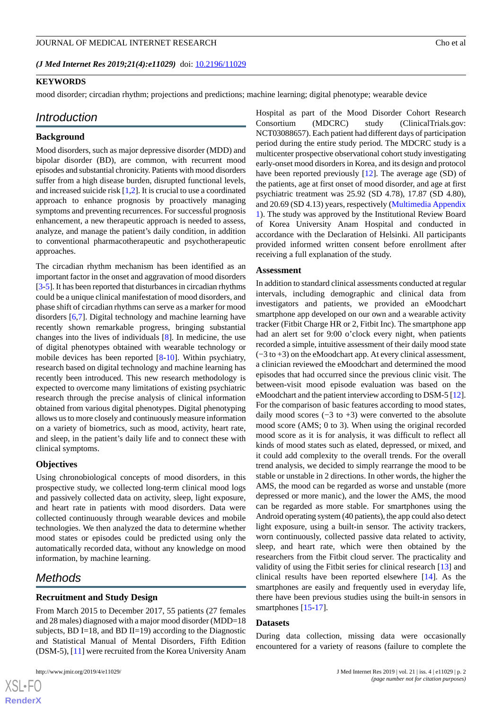#### *(J Med Internet Res 2019;21(4):e11029)* doi:  $10.2196/11029$

#### **KEYWORDS**

mood disorder; circadian rhythm; projections and predictions; machine learning; digital phenotype; wearable device

#### *Introduction*

#### **Background**

Mood disorders, such as major depressive disorder (MDD) and bipolar disorder (BD), are common, with recurrent mood episodes and substantial chronicity. Patients with mood disorders suffer from a high disease burden, disrupted functional levels, and increased suicide risk [\[1](#page-11-0),[2](#page-12-0)]. It is crucial to use a coordinated approach to enhance prognosis by proactively managing symptoms and preventing recurrences. For successful prognosis enhancement, a new therapeutic approach is needed to assess, analyze, and manage the patient's daily condition, in addition to conventional pharmacotherapeutic and psychotherapeutic approaches.

The circadian rhythm mechanism has been identified as an important factor in the onset and aggravation of mood disorders [[3-](#page-12-1)[5\]](#page-12-2). It has been reported that disturbances in circadian rhythms could be a unique clinical manifestation of mood disorders, and phase shift of circadian rhythms can serve as a marker for mood disorders [\[6](#page-12-3),[7\]](#page-12-4). Digital technology and machine learning have recently shown remarkable progress, bringing substantial changes into the lives of individuals [\[8](#page-12-5)]. In medicine, the use of digital phenotypes obtained with wearable technology or mobile devices has been reported [[8-](#page-12-5)[10](#page-12-6)]. Within psychiatry, research based on digital technology and machine learning has recently been introduced. This new research methodology is expected to overcome many limitations of existing psychiatric research through the precise analysis of clinical information obtained from various digital phenotypes. Digital phenotyping allows us to more closely and continuously measure information on a variety of biometrics, such as mood, activity, heart rate, and sleep, in the patient's daily life and to connect these with clinical symptoms.

#### **Objectives**

Using chronobiological concepts of mood disorders, in this prospective study, we collected long-term clinical mood logs and passively collected data on activity, sleep, light exposure, and heart rate in patients with mood disorders. Data were collected continuously through wearable devices and mobile technologies. We then analyzed the data to determine whether mood states or episodes could be predicted using only the automatically recorded data, without any knowledge on mood information, by machine learning.

## *Methods*

#### **Recruitment and Study Design**

From March 2015 to December 2017, 55 patients (27 females and 28 males) diagnosed with a major mood disorder (MDD=18 subjects, BD I=18, and BD II=19) according to the Diagnostic and Statistical Manual of Mental Disorders, Fifth Edition (DSM-5), [\[11](#page-12-7)] were recruited from the Korea University Anam

Hospital as part of the Mood Disorder Cohort Research Consortium (MDCRC) study (ClinicalTrials.gov: NCT03088657). Each patient had different days of participation period during the entire study period. The MDCRC study is a multicenter prospective observational cohort study investigating early-onset mood disorders in Korea, and its design and protocol have been reported previously [[12\]](#page-12-8). The average age (SD) of the patients, age at first onset of mood disorder, and age at first psychiatric treatment was 25.92 (SD 4.78), 17.87 (SD 4.80), and 20.69 (SD 4.13) years, respectively ([Multimedia Appendix](#page-11-1) [1\)](#page-11-1). The study was approved by the Institutional Review Board of Korea University Anam Hospital and conducted in accordance with the Declaration of Helsinki. All participants provided informed written consent before enrollment after receiving a full explanation of the study.

#### **Assessment**

In addition to standard clinical assessments conducted at regular intervals, including demographic and clinical data from investigators and patients, we provided an eMoodchart smartphone app developed on our own and a wearable activity tracker (Fitbit Charge HR or 2, Fitbit Inc). The smartphone app had an alert set for 9:00 o'clock every night, when patients recorded a simple, intuitive assessment of their daily mood state (−3 to +3) on the eMoodchart app. At every clinical assessment, a clinician reviewed the eMoodchart and determined the mood episodes that had occurred since the previous clinic visit. The between-visit mood episode evaluation was based on the eMoodchart and the patient interview according to DSM-5 [\[12\]](#page-12-8). For the comparison of basic features according to mood states, daily mood scores  $(-3 \text{ to } +3)$  were converted to the absolute mood score (AMS; 0 to 3). When using the original recorded mood score as it is for analysis, it was difficult to reflect all kinds of mood states such as elated, depressed, or mixed, and it could add complexity to the overall trends. For the overall trend analysis, we decided to simply rearrange the mood to be stable or unstable in 2 directions. In other words, the higher the AMS, the mood can be regarded as worse and unstable (more depressed or more manic), and the lower the AMS, the mood can be regarded as more stable. For smartphones using the Android operating system (40 patients), the app could also detect light exposure, using a built-in sensor. The activity trackers, worn continuously, collected passive data related to activity, sleep, and heart rate, which were then obtained by the researchers from the Fitbit cloud server. The practicality and validity of using the Fitbit series for clinical research [\[13](#page-12-9)] and clinical results have been reported elsewhere [\[14](#page-12-10)]. As the smartphones are easily and frequently used in everyday life, there have been previous studies using the built-in sensors in smartphones [\[15](#page-12-11)[-17](#page-12-12)].

#### **Datasets**

During data collection, missing data were occasionally encountered for a variety of reasons (failure to complete the

```
XS • FO
RenderX
```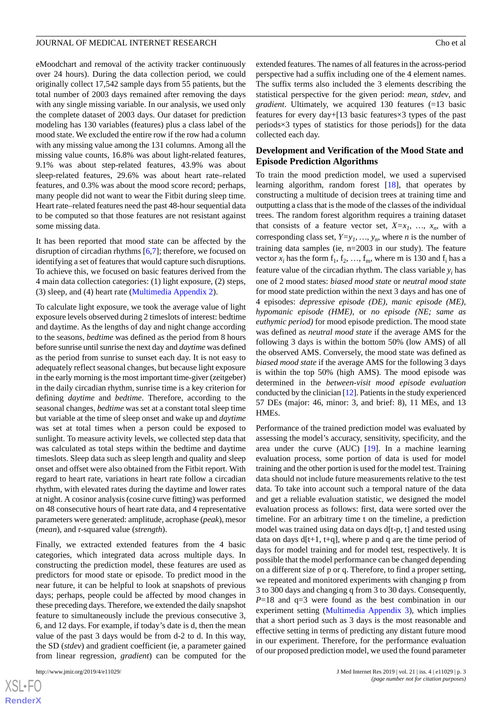eMoodchart and removal of the activity tracker continuously over 24 hours). During the data collection period, we could originally collect 17,542 sample days from 55 patients, but the total number of 2003 days remained after removing the days with any single missing variable. In our analysis, we used only the complete dataset of 2003 days. Our dataset for prediction modeling has 130 variables (features) plus a class label of the mood state. We excluded the entire row if the row had a column with any missing value among the 131 columns. Among all the missing value counts, 16.8% was about light-related features, 9.1% was about step-related features, 43.9% was about sleep-related features, 29.6% was about heart rate–related features, and 0.3% was about the mood score record; perhaps, many people did not want to wear the Fitbit during sleep time. Heart rate–related features need the past 48-hour sequential data to be computed so that those features are not resistant against some missing data.

It has been reported that mood state can be affected by the disruption of circadian rhythms [[6](#page-12-3)[,7](#page-12-4)]; therefore, we focused on identifying a set of features that would capture such disruptions. To achieve this, we focused on basic features derived from the 4 main data collection categories: (1) light exposure, (2) steps, (3) sleep, and (4) heart rate ([Multimedia Appendix 2\)](#page-11-2).

To calculate light exposure, we took the average value of light exposure levels observed during 2 timeslots of interest: bedtime and daytime. As the lengths of day and night change according to the seasons, *bedtime* was defined as the period from 8 hours before sunrise until sunrise the next day and *daytime* was defined as the period from sunrise to sunset each day. It is not easy to adequately reflect seasonal changes, but because light exposure in the early morning is the most important time-giver (zeitgeber) in the daily circadian rhythm, sunrise time is a key criterion for defining *daytime* and *bedtime*. Therefore, according to the seasonal changes, *bedtime* was set at a constant total sleep time but variable at the time of sleep onset and wake up and *daytime* was set at total times when a person could be exposed to sunlight. To measure activity levels, we collected step data that was calculated as total steps within the bedtime and daytime timeslots. Sleep data such as sleep length and quality and sleep onset and offset were also obtained from the Fitbit report. With regard to heart rate, variations in heart rate follow a circadian rhythm, with elevated rates during the daytime and lower rates at night. A cosinor analysis (cosine curve fitting) was performed on 48 consecutive hours of heart rate data, and 4 representative parameters were generated: amplitude, acrophase (*peak*), mesor (*mean*), and r-squared value (*strength*).

Finally, we extracted extended features from the 4 basic categories, which integrated data across multiple days. In constructing the prediction model, these features are used as predictors for mood state or episode. To predict mood in the near future, it can be helpful to look at snapshots of previous days; perhaps, people could be affected by mood changes in these preceding days. Therefore, we extended the daily snapshot feature to simultaneously include the previous consecutive 3, 6, and 12 days. For example, if today's date is d, then the mean value of the past 3 days would be from d-2 to d. In this way, the SD (*stdev*) and gradient coefficient (ie, a parameter gained from linear regression, *gradient*) can be computed for the

extended features. The names of all features in the across-period perspective had a suffix including one of the 4 element names. The suffix terms also included the 3 elements describing the statistical perspective for the given period: *mean*, *stdev*, and *gradient*. Ultimately, we acquired 130 features (=13 basic features for every day+[13 basic features×3 types of the past periods×3 types of statistics for those periods]) for the data collected each day.

#### **Development and Verification of the Mood State and Episode Prediction Algorithms**

To train the mood prediction model, we used a supervised learning algorithm, random forest [[18\]](#page-12-13), that operates by constructing a multitude of decision trees at training time and outputting a class that is the mode of the classes of the individual trees. The random forest algorithm requires a training dataset that consists of a feature vector set,  $X=x_1, \ldots, x_n$ , with a corresponding class set,  $Y=y_1, ..., y_n$ , where *n* is the number of training data samples (ie, n=2003 in our study). The feature vector  $x_i$  has the form  $f_1, f_2, ..., f_m$ , where m is 130 and  $f_i$  has a feature value of the circadian rhythm. The class variable *y<sup>i</sup>* has one of 2 mood states: *biased mood state* or *neutral mood state* for mood state prediction within the next 3 days and has one of 4 episodes: *depressive episode (DE)*, *manic episode (ME)*, *hypomanic episode (HME)*, or *no episode (NE; same as euthymic period)* for mood episode prediction. The mood state was defined as *neutral mood state* if the average AMS for the following 3 days is within the bottom 50% (low AMS) of all the observed AMS. Conversely, the mood state was defined as *biased mood state* if the average AMS for the following 3 days is within the top 50% (high AMS). The mood episode was determined in the *between-visit mood episode evaluation* conducted by the clinician [[12\]](#page-12-8). Patients in the study experienced 57 DEs (major: 46, minor: 3, and brief: 8), 11 MEs, and 13 HMEs.

Performance of the trained prediction model was evaluated by assessing the model's accuracy, sensitivity, specificity, and the area under the curve (AUC) [[19\]](#page-12-14). In a machine learning evaluation process, some portion of data is used for model training and the other portion is used for the model test. Training data should not include future measurements relative to the test data. To take into account such a temporal nature of the data and get a reliable evaluation statistic, we designed the model evaluation process as follows: first, data were sorted over the timeline. For an arbitrary time t on the timeline, a prediction model was trained using data on days d[t-p, t] and tested using data on days  $d[t+1, t+q]$ , where p and q are the time period of days for model training and for model test, respectively. It is possible that the model performance can be changed depending on a different size of p or q. Therefore, to find a proper setting, we repeated and monitored experiments with changing p from 3 to 300 days and changing q from 3 to 30 days. Consequently, *P*=18 and q=3 were found as the best combination in our experiment setting [\(Multimedia Appendix 3](#page-11-3)), which implies that a short period such as 3 days is the most reasonable and effective setting in terms of predicting any distant future mood in our experiment. Therefore, for the performance evaluation of our proposed prediction model, we used the found parameter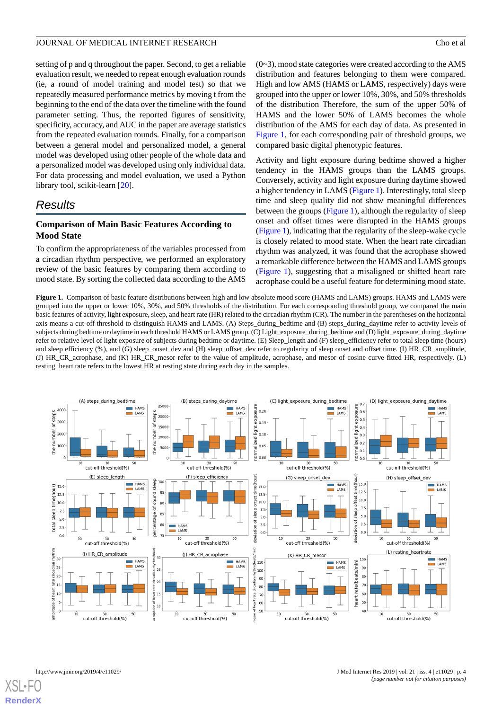setting of p and q throughout the paper. Second, to get a reliable evaluation result, we needed to repeat enough evaluation rounds (ie, a round of model training and model test) so that we repeatedly measured performance metrics by moving t from the beginning to the end of the data over the timeline with the found parameter setting. Thus, the reported figures of sensitivity, specificity, accuracy, and AUC in the paper are average statistics from the repeated evaluation rounds. Finally, for a comparison between a general model and personalized model, a general model was developed using other people of the whole data and a personalized model was developed using only individual data. For data processing and model evaluation, we used a Python library tool, scikit-learn [\[20](#page-12-15)].

## *Results*

## **Comparison of Main Basic Features According to Mood State**

<span id="page-3-0"></span>To confirm the appropriateness of the variables processed from a circadian rhythm perspective, we performed an exploratory review of the basic features by comparing them according to mood state. By sorting the collected data according to the AMS

 $(0-3)$ , mood state categories were created according to the AMS distribution and features belonging to them were compared. High and low AMS (HAMS or LAMS, respectively) days were grouped into the upper or lower 10%, 30%, and 50% thresholds of the distribution Therefore, the sum of the upper 50% of HAMS and the lower 50% of LAMS becomes the whole distribution of the AMS for each day of data. As presented in [Figure 1,](#page-3-0) for each corresponding pair of threshold groups, we compared basic digital phenotypic features.

Activity and light exposure during bedtime showed a higher tendency in the HAMS groups than the LAMS groups. Conversely, activity and light exposure during daytime showed a higher tendency in LAMS ([Figure 1\)](#page-3-0). Interestingly, total sleep time and sleep quality did not show meaningful differences between the groups ([Figure 1](#page-3-0)), although the regularity of sleep onset and offset times were disrupted in the HAMS groups ([Figure 1\)](#page-3-0), indicating that the regularity of the sleep-wake cycle is closely related to mood state. When the heart rate circadian rhythm was analyzed, it was found that the acrophase showed a remarkable difference between the HAMS and LAMS groups ([Figure 1\)](#page-3-0), suggesting that a misaligned or shifted heart rate acrophase could be a useful feature for determining mood state.

**Figure 1.** Comparison of basic feature distributions between high and low absolute mood score (HAMS and LAMS) groups. HAMS and LAMS were grouped into the upper or lower 10%, 30%, and 50% thresholds of the distribution. For each corresponding threshold group, we compared the main basic features of activity, light exposure, sleep, and heart rate (HR) related to the circadian rhythm (CR). The number in the parentheses on the horizontal axis means a cut-off threshold to distinguish HAMS and LAMS. (A) Steps\_during\_bedtime and (B) steps\_during\_daytime refer to activity levels of subjects during bedtime or daytime in each threshold HAMS or LAMS group. (C) Light\_exposure\_during\_bedtime and (D) light\_exposure\_during\_daytime refer to relative level of light exposure of subjects during bedtime or daytime. (E) Sleep\_length and (F) sleep\_efficiency refer to total sleep time (hours) and sleep efficiency (%), and (G) sleep\_onset\_dev and (H) sleep\_offset\_dev refer to regularity of sleep onset and offset time. (I) HR\_CR\_amplitude, (J) HR\_CR\_acrophase, and (K) HR\_CR\_mesor refer to the value of amplitude, acrophase, and mesor of cosine curve fitted HR, respectively. (L) resting\_heart rate refers to the lowest HR at resting state during each day in the samples.



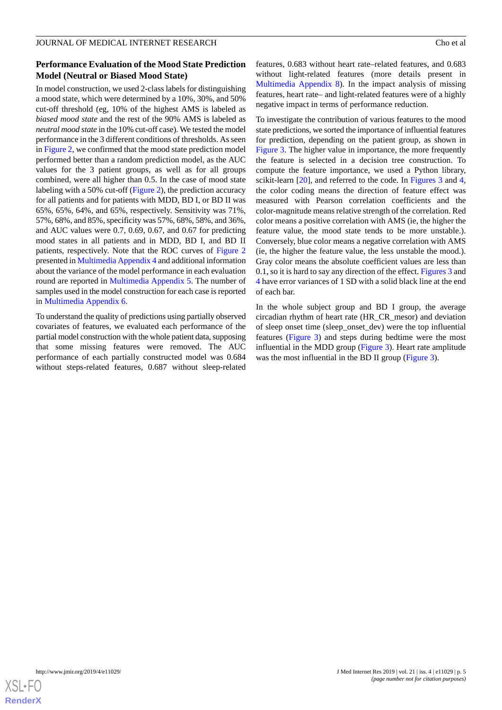## **Performance Evaluation of the Mood State Prediction Model (Neutral or Biased Mood State)**

In model construction, we used 2-class labels for distinguishing a mood state, which were determined by a 10%, 30%, and 50% cut-off threshold (eg, 10% of the highest AMS is labeled as *biased mood state* and the rest of the 90% AMS is labeled as *neutral mood state* in the 10% cut-off case). We tested the model performance in the 3 different conditions of thresholds. As seen in [Figure 2,](#page-5-0) we confirmed that the mood state prediction model performed better than a random prediction model, as the AUC values for the 3 patient groups, as well as for all groups combined, were all higher than 0.5. In the case of mood state labeling with a 50% cut-off [\(Figure 2\)](#page-5-0), the prediction accuracy for all patients and for patients with MDD, BD I, or BD II was 65%, 65%, 64%, and 65%, respectively. Sensitivity was 71%, 57%, 68%, and 85%, specificity was 57%, 68%, 58%, and 36%, and AUC values were 0.7, 0.69, 0.67, and 0.67 for predicting mood states in all patients and in MDD, BD I, and BD II patients, respectively. Note that the ROC curves of [Figure 2](#page-5-0) presented in [Multimedia Appendix 4](#page-11-4) and additional information about the variance of the model performance in each evaluation round are reported in [Multimedia Appendix 5.](#page-11-5) The number of samples used in the model construction for each case is reported in [Multimedia Appendix 6.](#page-11-6)

To understand the quality of predictions using partially observed covariates of features, we evaluated each performance of the partial model construction with the whole patient data, supposing that some missing features were removed. The AUC performance of each partially constructed model was 0.684 without steps-related features, 0.687 without sleep-related

features, 0.683 without heart rate–related features, and 0.683 without light-related features (more details present in [Multimedia Appendix 8\)](#page-11-7). In the impact analysis of missing features, heart rate– and light-related features were of a highly negative impact in terms of performance reduction.

To investigate the contribution of various features to the mood state predictions, we sorted the importance of influential features for prediction, depending on the patient group, as shown in [Figure 3](#page-6-0). The higher value in importance, the more frequently the feature is selected in a decision tree construction. To compute the feature importance, we used a Python library, scikit-learn [[20\]](#page-12-15), and referred to the code. In [Figures 3](#page-6-0) and [4](#page-7-0), the color coding means the direction of feature effect was measured with Pearson correlation coefficients and the color-magnitude means relative strength of the correlation. Red color means a positive correlation with AMS (ie, the higher the feature value, the mood state tends to be more unstable.). Conversely, blue color means a negative correlation with AMS (ie, the higher the feature value, the less unstable the mood.). Gray color means the absolute coefficient values are less than 0.1, so it is hard to say any direction of the effect. [Figures 3](#page-6-0) and [4](#page-7-0) have error variances of 1 SD with a solid black line at the end of each bar.

In the whole subject group and BD I group, the average circadian rhythm of heart rate (HR\_CR\_mesor) and deviation of sleep onset time (sleep\_onset\_dev) were the top influential features ([Figure 3\)](#page-6-0) and steps during bedtime were the most influential in the MDD group [\(Figure 3\)](#page-6-0). Heart rate amplitude was the most influential in the BD II group ([Figure 3](#page-6-0)).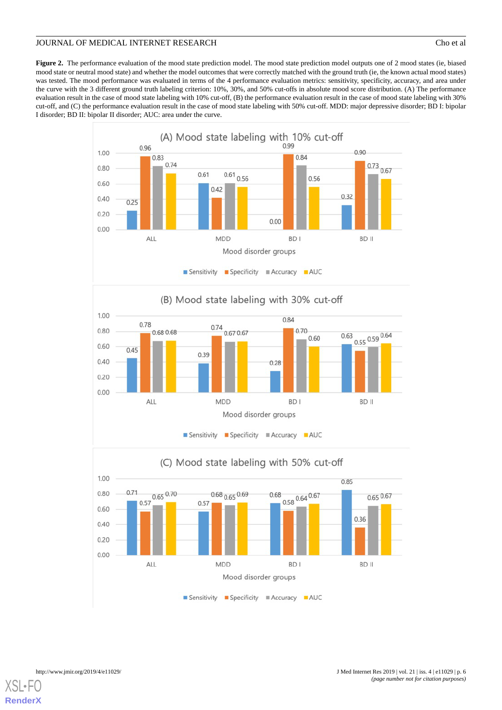<span id="page-5-0"></span>Figure 2. The performance evaluation of the mood state prediction model. The mood state prediction model outputs one of 2 mood states (ie, biased mood state or neutral mood state) and whether the model outcomes that were correctly matched with the ground truth (ie, the known actual mood states) was tested. The mood performance was evaluated in terms of the 4 performance evaluation metrics: sensitivity, specificity, accuracy, and area under the curve with the 3 different ground truth labeling criterion: 10%, 30%, and 50% cut-offs in absolute mood score distribution. (A) The performance evaluation result in the case of mood state labeling with 10% cut-off, (B) the performance evaluation result in the case of mood state labeling with 30% cut-off, and (C) the performance evaluation result in the case of mood state labeling with 50% cut-off. MDD: major depressive disorder; BD I: bipolar I disorder; BD II: bipolar II disorder; AUC: area under the curve.





## (C) Mood state labeling with 50% cut-off

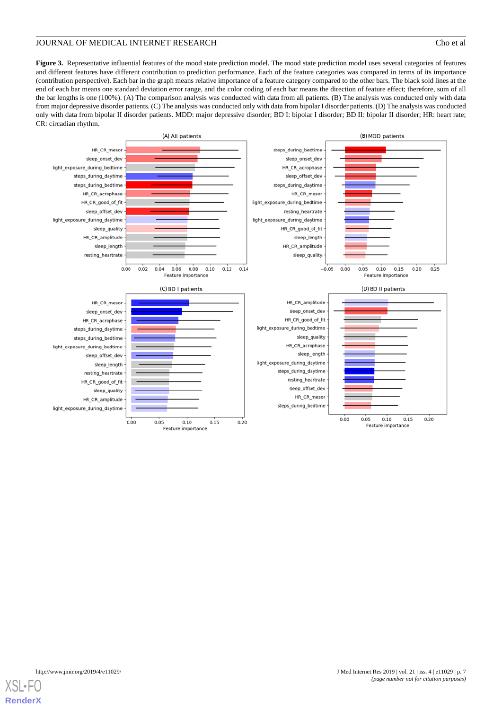<span id="page-6-0"></span>Figure 3. Representative influential features of the mood state prediction model. The mood state prediction model uses several categories of features and different features have different contribution to prediction performance. Each of the feature categories was compared in terms of its importance (contribution perspective). Each bar in the graph means relative importance of a feature category compared to the other bars. The black sold lines at the end of each bar means one standard deviation error range, and the color coding of each bar means the direction of feature effect; therefore, sum of all the bar lengths is one (100%). (A) The comparison analysis was conducted with data from all patients. (B) The analysis was conducted only with data from major depressive disorder patients. (C) The analysis was conducted only with data from bipolar I disorder patients. (D) The analysis was conducted only with data from bipolar II disorder patients. MDD: major depressive disorder; BD I: bipolar I disorder; BD II: bipolar II disorder; HR: heart rate; CR: circadian rhythm.



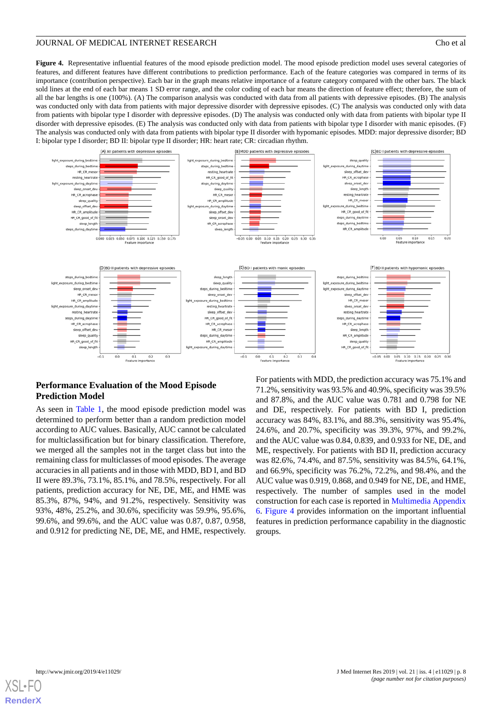<span id="page-7-0"></span>**Figure 4.** Representative influential features of the mood episode prediction model. The mood episode prediction model uses several categories of features, and different features have different contributions to prediction performance. Each of the feature categories was compared in terms of its importance (contribution perspective). Each bar in the graph means relative importance of a feature category compared with the other bars. The black sold lines at the end of each bar means 1 SD error range, and the color coding of each bar means the direction of feature effect; therefore, the sum of all the bar lengths is one (100%). (A) The comparison analysis was conducted with data from all patients with depressive episodes. (B) The analysis was conducted only with data from patients with major depressive disorder with depressive episodes. (C) The analysis was conducted only with data from patients with bipolar type I disorder with depressive episodes. (D) The analysis was conducted only with data from patients with bipolar type II disorder with depressive episodes. (E) The analysis was conducted only with data from patients with bipolar type I disorder with manic episodes. (F) The analysis was conducted only with data from patients with bipolar type II disorder with hypomanic episodes. MDD: major depressive disorder; BD I: bipolar type I disorder; BD II: bipolar type II disorder; HR: heart rate; CR: circadian rhythm.



## **Performance Evaluation of the Mood Episode Prediction Model**

As seen in [Table 1,](#page-8-0) the mood episode prediction model was determined to perform better than a random prediction model according to AUC values. Basically, AUC cannot be calculated for multiclassification but for binary classification. Therefore, we merged all the samples not in the target class but into the remaining class for multiclasses of mood episodes. The average accuracies in all patients and in those with MDD, BD I, and BD II were 89.3%, 73.1%, 85.1%, and 78.5%, respectively. For all patients, prediction accuracy for NE, DE, ME, and HME was 85.3%, 87%, 94%, and 91.2%, respectively. Sensitivity was 93%, 48%, 25.2%, and 30.6%, specificity was 59.9%, 95.6%, 99.6%, and 99.6%, and the AUC value was 0.87, 0.87, 0.958, and 0.912 for predicting NE, DE, ME, and HME, respectively.

For patients with MDD, the prediction accuracy was 75.1% and 71.2%, sensitivity was 93.5% and 40.9%, specificity was 39.5% and 87.8%, and the AUC value was 0.781 and 0.798 for NE and DE, respectively. For patients with BD I, prediction accuracy was 84%, 83.1%, and 88.3%, sensitivity was 95.4%, 24.6%, and 20.7%, specificity was 39.3%, 97%, and 99.2%, and the AUC value was 0.84, 0.839, and 0.933 for NE, DE, and ME, respectively. For patients with BD II, prediction accuracy was 82.6%, 74.4%, and 87.5%, sensitivity was 84.5%, 64.1%, and 66.9%, specificity was 76.2%, 72.2%, and 98.4%, and the AUC value was 0.919, 0.868, and 0.949 for NE, DE, and HME, respectively. The number of samples used in the model construction for each case is reported in [Multimedia Appendix](#page-11-6) [6.](#page-11-6) [Figure 4](#page-7-0) provides information on the important influential features in prediction performance capability in the diagnostic groups.

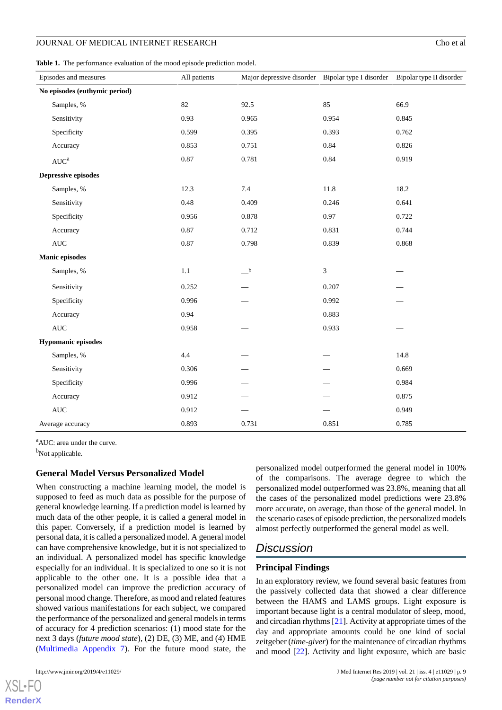<span id="page-8-0"></span>Table 1. The performance evaluation of the mood episode prediction model.

| Episodes and measures         |              | All patients | Major depressive disorder Bipolar type I disorder Bipolar type II disorder |       |       |
|-------------------------------|--------------|--------------|----------------------------------------------------------------------------|-------|-------|
| No episodes (euthymic period) |              |              |                                                                            |       |       |
|                               | Samples, %   | 82           | 92.5                                                                       | 85    | 66.9  |
|                               | Sensitivity  | 0.93         | 0.965                                                                      | 0.954 | 0.845 |
|                               | Specificity  | 0.599        | 0.395                                                                      | 0.393 | 0.762 |
|                               | Accuracy     | 0.853        | 0.751                                                                      | 0.84  | 0.826 |
|                               | $AUC^a$      | 0.87         | 0.781                                                                      | 0.84  | 0.919 |
| <b>Depressive episodes</b>    |              |              |                                                                            |       |       |
|                               | Samples, %   | 12.3         | 7.4                                                                        | 11.8  | 18.2  |
|                               | Sensitivity  | 0.48         | 0.409                                                                      | 0.246 | 0.641 |
|                               | Specificity  | 0.956        | 0.878                                                                      | 0.97  | 0.722 |
|                               | Accuracy     | 0.87         | 0.712                                                                      | 0.831 | 0.744 |
|                               | $\mbox{AUC}$ | 0.87         | 0.798                                                                      | 0.839 | 0.868 |
| <b>Manic episodes</b>         |              |              |                                                                            |       |       |
|                               | Samples, %   | $1.1\,$      | $\overline{\phantom{a}}^{\phantom{a}b}$                                    | 3     |       |
|                               | Sensitivity  | 0.252        |                                                                            | 0.207 |       |
|                               | Specificity  | 0.996        |                                                                            | 0.992 |       |
|                               | Accuracy     | 0.94         |                                                                            | 0.883 |       |
|                               | $\mbox{AUC}$ | 0.958        |                                                                            | 0.933 |       |
| <b>Hypomanic episodes</b>     |              |              |                                                                            |       |       |
|                               | Samples, %   | 4.4          |                                                                            |       | 14.8  |
|                               | Sensitivity  | 0.306        |                                                                            |       | 0.669 |
|                               | Specificity  | 0.996        |                                                                            |       | 0.984 |
|                               | Accuracy     | 0.912        |                                                                            |       | 0.875 |
|                               | $\mbox{AUC}$ | 0.912        |                                                                            |       | 0.949 |
| Average accuracy              |              | 0.893        | 0.731                                                                      | 0.851 | 0.785 |

<sup>a</sup>AUC: area under the curve.

<sup>b</sup>Not applicable.

#### **General Model Versus Personalized Model**

When constructing a machine learning model, the model is supposed to feed as much data as possible for the purpose of general knowledge learning. If a prediction model is learned by much data of the other people, it is called a general model in this paper. Conversely, if a prediction model is learned by personal data, it is called a personalized model. A general model can have comprehensive knowledge, but it is not specialized to an individual. A personalized model has specific knowledge especially for an individual. It is specialized to one so it is not applicable to the other one. It is a possible idea that a personalized model can improve the prediction accuracy of personal mood change. Therefore, as mood and related features showed various manifestations for each subject, we compared the performance of the personalized and general models in terms of accuracy for 4 prediction scenarios: (1) mood state for the next 3 days (*future mood state*), (2) DE, (3) ME, and (4) HME ([Multimedia Appendix 7\)](#page-11-8). For the future mood state, the

[XSL](http://www.w3.org/Style/XSL)•FO **[RenderX](http://www.renderx.com/)**

personalized model outperformed the general model in 100% of the comparisons. The average degree to which the personalized model outperformed was 23.8%, meaning that all the cases of the personalized model predictions were 23.8% more accurate, on average, than those of the general model. In the scenario cases of episode prediction, the personalized models almost perfectly outperformed the general model as well.

## *Discussion*

## **Principal Findings**

In an exploratory review, we found several basic features from the passively collected data that showed a clear difference between the HAMS and LAMS groups. Light exposure is important because light is a central modulator of sleep, mood, and circadian rhythms [[21\]](#page-12-16). Activity at appropriate times of the day and appropriate amounts could be one kind of social zeitgeber (*time-giver*) for the maintenance of circadian rhythms and mood [\[22](#page-12-17)]. Activity and light exposure, which are basic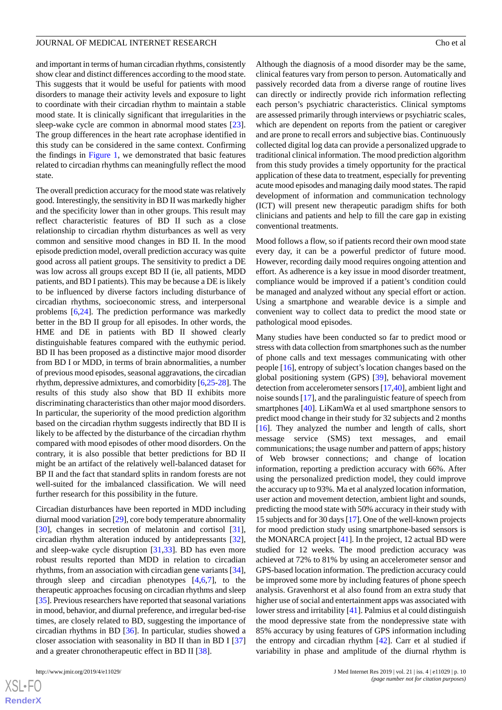and important in terms of human circadian rhythms, consistently show clear and distinct differences according to the mood state. This suggests that it would be useful for patients with mood disorders to manage their activity levels and exposure to light to coordinate with their circadian rhythm to maintain a stable mood state. It is clinically significant that irregularities in the sleep-wake cycle are common in abnormal mood states [[23\]](#page-12-18). The group differences in the heart rate acrophase identified in this study can be considered in the same context. Confirming the findings in [Figure 1,](#page-3-0) we demonstrated that basic features related to circadian rhythms can meaningfully reflect the mood state.

The overall prediction accuracy for the mood state was relatively good. Interestingly, the sensitivity in BD II was markedly higher and the specificity lower than in other groups. This result may reflect characteristic features of BD II such as a close relationship to circadian rhythm disturbances as well as very common and sensitive mood changes in BD II. In the mood episode prediction model, overall prediction accuracy was quite good across all patient groups. The sensitivity to predict a DE was low across all groups except BD II (ie, all patients, MDD patients, and BD I patients). This may be because a DE is likely to be influenced by diverse factors including disturbance of circadian rhythms, socioeconomic stress, and interpersonal problems [\[6](#page-12-3),[24\]](#page-12-19). The prediction performance was markedly better in the BD II group for all episodes. In other words, the HME and DE in patients with BD II showed clearly distinguishable features compared with the euthymic period. BD II has been proposed as a distinctive major mood disorder from BD I or MDD, in terms of brain abnormalities, a number of previous mood episodes, seasonal aggravations, the circadian rhythm, depressive admixtures, and comorbidity [[6](#page-12-3)[,25](#page-12-20)[-28](#page-13-0)]. The results of this study also show that BD II exhibits more discriminating characteristics than other major mood disorders. In particular, the superiority of the mood prediction algorithm based on the circadian rhythm suggests indirectly that BD II is likely to be affected by the disturbance of the circadian rhythm compared with mood episodes of other mood disorders. On the contrary, it is also possible that better predictions for BD II might be an artifact of the relatively well-balanced dataset for BP II and the fact that standard splits in random forests are not well-suited for the imbalanced classification. We will need further research for this possibility in the future.

Circadian disturbances have been reported in MDD including diurnal mood variation [[29\]](#page-13-1), core body temperature abnormality [[30\]](#page-13-2), changes in secretion of melatonin and cortisol [[31\]](#page-13-3), circadian rhythm alteration induced by antidepressants [[32\]](#page-13-4), and sleep-wake cycle disruption [[31](#page-13-3)[,33](#page-13-5)]. BD has even more robust results reported than MDD in relation to circadian rhythms, from an association with circadian gene variants [[34\]](#page-13-6), through sleep and circadian phenotypes  $[4,6,7]$  $[4,6,7]$  $[4,6,7]$  $[4,6,7]$ , to the therapeutic approaches focusing on circadian rhythms and sleep [[35\]](#page-13-7). Previous researchers have reported that seasonal variations in mood, behavior, and diurnal preference, and irregular bed-rise times, are closely related to BD, suggesting the importance of circadian rhythms in BD [\[36](#page-13-8)]. In particular, studies showed a closer association with seasonality in BD II than in BD I [\[37](#page-13-9)] and a greater chronotherapeutic effect in BD II [[38\]](#page-13-10).

 $XS$  $\cdot$ FC **[RenderX](http://www.renderx.com/)** Although the diagnosis of a mood disorder may be the same, clinical features vary from person to person. Automatically and passively recorded data from a diverse range of routine lives can directly or indirectly provide rich information reflecting each person's psychiatric characteristics. Clinical symptoms are assessed primarily through interviews or psychiatric scales, which are dependent on reports from the patient or caregiver and are prone to recall errors and subjective bias. Continuously collected digital log data can provide a personalized upgrade to traditional clinical information. The mood prediction algorithm from this study provides a timely opportunity for the practical application of these data to treatment, especially for preventing acute mood episodes and managing daily mood states. The rapid development of information and communication technology (ICT) will present new therapeutic paradigm shifts for both clinicians and patients and help to fill the care gap in existing conventional treatments.

Mood follows a flow, so if patients record their own mood state every day, it can be a powerful predictor of future mood. However, recording daily mood requires ongoing attention and effort. As adherence is a key issue in mood disorder treatment, compliance would be improved if a patient's condition could be managed and analyzed without any special effort or action. Using a smartphone and wearable device is a simple and convenient way to collect data to predict the mood state or pathological mood episodes.

Many studies have been conducted so far to predict mood or stress with data collection from smartphones such as the number of phone calls and text messages communicating with other people [[16\]](#page-12-22), entropy of subject's location changes based on the global positioning system (GPS) [\[39](#page-13-11)], behavioral movement detection from accelerometer sensors [[17,](#page-12-12)[40\]](#page-13-12), ambient light and noise sounds [[17\]](#page-12-12), and the paralinguistic feature of speech from smartphones [\[40](#page-13-12)]. LiKamWa et al used smartphone sensors to predict mood change in their study for 32 subjects and 2 months [[16\]](#page-12-22). They analyzed the number and length of calls, short message service (SMS) text messages, and email communications; the usage number and pattern of apps; history of Web browser connections; and change of location information, reporting a prediction accuracy with 66%. After using the personalized prediction model, they could improve the accuracy up to 93%. Ma et al analyzed location information, user action and movement detection, ambient light and sounds, predicting the mood state with 50% accuracy in their study with 15 subjects and for 30 days [\[17](#page-12-12)]. One of the well-known projects for mood prediction study using smartphone-based sensors is the MONARCA project [\[41](#page-13-13)]. In the project, 12 actual BD were studied for 12 weeks. The mood prediction accuracy was achieved at 72% to 81% by using an accelerometer sensor and GPS-based location information. The prediction accuracy could be improved some more by including features of phone speech analysis. Gravenhorst et al also found from an extra study that higher use of social and entertainment apps was associated with lower stress and irritability [\[41](#page-13-13)]. Palmius et al could distinguish the mood depressive state from the nondepressive state with 85% accuracy by using features of GPS information including the entropy and circadian rhythm [[42\]](#page-13-14). Carr et al studied if variability in phase and amplitude of the diurnal rhythm is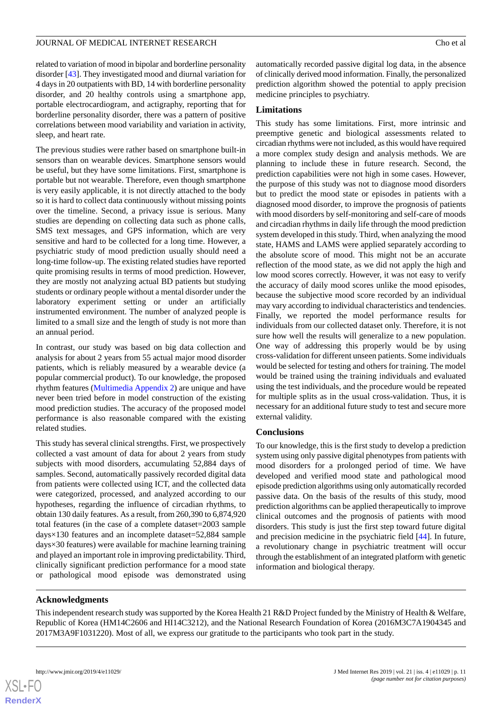related to variation of mood in bipolar and borderline personality disorder [[43\]](#page-13-15). They investigated mood and diurnal variation for 4 days in 20 outpatients with BD, 14 with borderline personality disorder, and 20 healthy controls using a smartphone app, portable electrocardiogram, and actigraphy, reporting that for borderline personality disorder, there was a pattern of positive correlations between mood variability and variation in activity, sleep, and heart rate.

The previous studies were rather based on smartphone built-in sensors than on wearable devices. Smartphone sensors would be useful, but they have some limitations. First, smartphone is portable but not wearable. Therefore, even though smartphone is very easily applicable, it is not directly attached to the body so it is hard to collect data continuously without missing points over the timeline. Second, a privacy issue is serious. Many studies are depending on collecting data such as phone calls, SMS text messages, and GPS information, which are very sensitive and hard to be collected for a long time. However, a psychiatric study of mood prediction usually should need a long-time follow-up. The existing related studies have reported quite promising results in terms of mood prediction. However, they are mostly not analyzing actual BD patients but studying students or ordinary people without a mental disorder under the laboratory experiment setting or under an artificially instrumented environment. The number of analyzed people is limited to a small size and the length of study is not more than an annual period.

In contrast, our study was based on big data collection and analysis for about 2 years from 55 actual major mood disorder patients, which is reliably measured by a wearable device (a popular commercial product). To our knowledge, the proposed rhythm features ([Multimedia Appendix 2\)](#page-11-2) are unique and have never been tried before in model construction of the existing mood prediction studies. The accuracy of the proposed model performance is also reasonable compared with the existing related studies.

This study has several clinical strengths. First, we prospectively collected a vast amount of data for about 2 years from study subjects with mood disorders, accumulating 52,884 days of samples. Second, automatically passively recorded digital data from patients were collected using ICT, and the collected data were categorized, processed, and analyzed according to our hypotheses, regarding the influence of circadian rhythms, to obtain 130 daily features. As a result, from 260,390 to 6,874,920 total features (in the case of a complete dataset=2003 sample days×130 features and an incomplete dataset=52,884 sample days×30 features) were available for machine learning training and played an important role in improving predictability. Third, clinically significant prediction performance for a mood state or pathological mood episode was demonstrated using

automatically recorded passive digital log data, in the absence of clinically derived mood information. Finally, the personalized prediction algorithm showed the potential to apply precision medicine principles to psychiatry.

## **Limitations**

This study has some limitations. First, more intrinsic and preemptive genetic and biological assessments related to circadian rhythms were not included, as this would have required a more complex study design and analysis methods. We are planning to include these in future research. Second, the prediction capabilities were not high in some cases. However, the purpose of this study was not to diagnose mood disorders but to predict the mood state or episodes in patients with a diagnosed mood disorder, to improve the prognosis of patients with mood disorders by self-monitoring and self-care of moods and circadian rhythms in daily life through the mood prediction system developed in this study. Third, when analyzing the mood state, HAMS and LAMS were applied separately according to the absolute score of mood. This might not be an accurate reflection of the mood state, as we did not apply the high and low mood scores correctly. However, it was not easy to verify the accuracy of daily mood scores unlike the mood episodes, because the subjective mood score recorded by an individual may vary according to individual characteristics and tendencies. Finally, we reported the model performance results for individuals from our collected dataset only. Therefore, it is not sure how well the results will generalize to a new population. One way of addressing this properly would be by using cross-validation for different unseen patients. Some individuals would be selected for testing and others for training. The model would be trained using the training individuals and evaluated using the test individuals, and the procedure would be repeated for multiple splits as in the usual cross-validation. Thus, it is necessary for an additional future study to test and secure more external validity.

## **Conclusions**

To our knowledge, this is the first study to develop a prediction system using only passive digital phenotypes from patients with mood disorders for a prolonged period of time. We have developed and verified mood state and pathological mood episode prediction algorithms using only automatically recorded passive data. On the basis of the results of this study, mood prediction algorithms can be applied therapeutically to improve clinical outcomes and the prognosis of patients with mood disorders. This study is just the first step toward future digital and precision medicine in the psychiatric field [\[44](#page-13-16)]. In future, a revolutionary change in psychiatric treatment will occur through the establishment of an integrated platform with genetic information and biological therapy.

## **Acknowledgments**

This independent research study was supported by the Korea Health 21 R&D Project funded by the Ministry of Health & Welfare, Republic of Korea (HM14C2606 and HI14C3212), and the National Research Foundation of Korea (2016M3C7A1904345 and 2017M3A9F1031220). Most of all, we express our gratitude to the participants who took part in the study.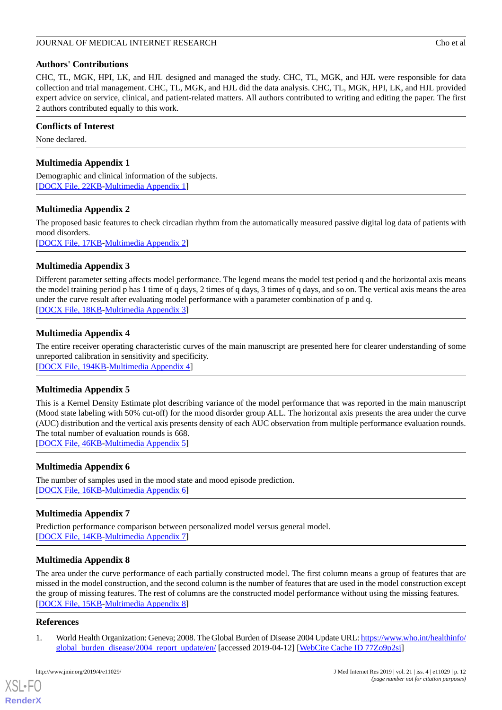## **Authors' Contributions**

CHC, TL, MGK, HPI, LK, and HJL designed and managed the study. CHC, TL, MGK, and HJL were responsible for data collection and trial management. CHC, TL, MGK, and HJL did the data analysis. CHC, TL, MGK, HPI, LK, and HJL provided expert advice on service, clinical, and patient-related matters. All authors contributed to writing and editing the paper. The first 2 authors contributed equally to this work.

## **Conflicts of Interest**

<span id="page-11-1"></span>None declared.

## **Multimedia Appendix 1**

<span id="page-11-2"></span>Demographic and clinical information of the subjects. [[DOCX File, 22KB-Multimedia Appendix 1\]](https://jmir.org/api/download?alt_name=jmir_v21i4e11029_app1.docx&filename=28cce977339c48523742182360e2357f.docx)

## **Multimedia Appendix 2**

<span id="page-11-3"></span>The proposed basic features to check circadian rhythm from the automatically measured passive digital log data of patients with mood disorders. [[DOCX File, 17KB-Multimedia Appendix 2\]](https://jmir.org/api/download?alt_name=jmir_v21i4e11029_app2.docx&filename=46ab804f377eaa1cd88f046d8c310ef0.docx)

**Multimedia Appendix 3**

<span id="page-11-4"></span>Different parameter setting affects model performance. The legend means the model test period q and the horizontal axis means the model training period p has 1 time of q days, 2 times of q days, 3 times of q days, and so on. The vertical axis means the area under the curve result after evaluating model performance with a parameter combination of p and q. [[DOCX File, 18KB-Multimedia Appendix 3\]](https://jmir.org/api/download?alt_name=jmir_v21i4e11029_app3.docx&filename=e3644f7fc1cb52a3fce65b463d7be5cc.docx)

## **Multimedia Appendix 4**

<span id="page-11-5"></span>The entire receiver operating characteristic curves of the main manuscript are presented here for clearer understanding of some unreported calibration in sensitivity and specificity. [[DOCX File, 194KB](https://jmir.org/api/download?alt_name=jmir_v21i4e11029_app4.docx&filename=9d365cd7394a8fc2d7a9981974b1bb8d.docx)-[Multimedia Appendix 4\]](https://jmir.org/api/download?alt_name=jmir_v21i4e11029_app4.docx&filename=9d365cd7394a8fc2d7a9981974b1bb8d.docx)

## **Multimedia Appendix 5**

<span id="page-11-6"></span>This is a Kernel Density Estimate plot describing variance of the model performance that was reported in the main manuscript (Mood state labeling with 50% cut-off) for the mood disorder group ALL. The horizontal axis presents the area under the curve (AUC) distribution and the vertical axis presents density of each AUC observation from multiple performance evaluation rounds. The total number of evaluation rounds is 668.

[[DOCX File, 46KB-Multimedia Appendix 5\]](https://jmir.org/api/download?alt_name=jmir_v21i4e11029_app5.docx&filename=de045dec30176bf9a94f306e0bbf193c.docx)

## <span id="page-11-8"></span>**Multimedia Appendix 6**

The number of samples used in the mood state and mood episode prediction. [[DOCX File, 16KB-Multimedia Appendix 6\]](https://jmir.org/api/download?alt_name=jmir_v21i4e11029_app6.docx&filename=4618ed77e5dfce19d620842d6a0e2143.docx)

## <span id="page-11-7"></span>**Multimedia Appendix 7**

Prediction performance comparison between personalized model versus general model. [[DOCX File, 14KB-Multimedia Appendix 7\]](https://jmir.org/api/download?alt_name=jmir_v21i4e11029_app7.docx)

## **Multimedia Appendix 8**

<span id="page-11-0"></span>The area under the curve performance of each partially constructed model. The first column means a group of features that are missed in the model construction, and the second column is the number of features that are used in the model construction except the group of missing features. The rest of columns are the constructed model performance without using the missing features. [[DOCX File, 15KB-Multimedia Appendix 8\]](https://jmir.org/api/download?alt_name=jmir_v21i4e11029_app8.docx&filename=d9acf80834259957994e29eb390b2611.docx)

## **References**

[XSL](http://www.w3.org/Style/XSL)•FO **[RenderX](http://www.renderx.com/)**

1. World Health Organization: Geneva; 2008. The Global Burden of Disease 2004 Update URL: [https://www.who.int/healthinfo/](https://www.who.int/healthinfo/global_burden_disease/2004_report_update/en/) [global\\_burden\\_disease/2004\\_report\\_update/en/](https://www.who.int/healthinfo/global_burden_disease/2004_report_update/en/) [accessed 2019-04-12] [\[WebCite Cache ID 77Zo9p2sj\]](http://www.webcitation.org/

                                            77Zo9p2sj)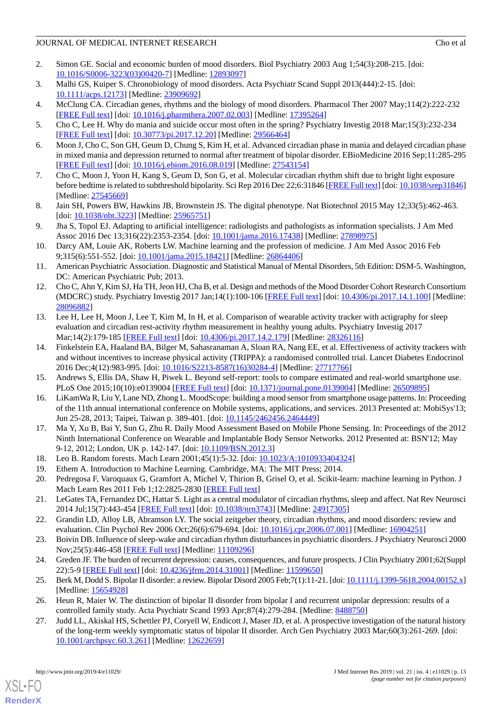- <span id="page-12-0"></span>2. Simon GE. Social and economic burden of mood disorders. Biol Psychiatry 2003 Aug 1;54(3):208-215. [doi: [10.1016/S0006-3223\(03\)00420-7\]](http://dx.doi.org/10.1016/S0006-3223(03)00420-7) [Medline: [12893097](http://www.ncbi.nlm.nih.gov/entrez/query.fcgi?cmd=Retrieve&db=PubMed&list_uids=12893097&dopt=Abstract)]
- <span id="page-12-21"></span><span id="page-12-1"></span>3. Malhi GS, Kuiper S. Chronobiology of mood disorders. Acta Psychiatr Scand Suppl 2013(444):2-15. [doi: [10.1111/acps.12173](http://dx.doi.org/10.1111/acps.12173)] [Medline: [23909692\]](http://www.ncbi.nlm.nih.gov/entrez/query.fcgi?cmd=Retrieve&db=PubMed&list_uids=23909692&dopt=Abstract)
- <span id="page-12-2"></span>4. McClung CA. Circadian genes, rhythms and the biology of mood disorders. Pharmacol Ther 2007 May;114(2):222-232 [[FREE Full text](http://europepmc.org/abstract/MED/17395264)] [doi: [10.1016/j.pharmthera.2007.02.003](http://dx.doi.org/10.1016/j.pharmthera.2007.02.003)] [Medline: [17395264\]](http://www.ncbi.nlm.nih.gov/entrez/query.fcgi?cmd=Retrieve&db=PubMed&list_uids=17395264&dopt=Abstract)
- <span id="page-12-3"></span>5. Cho C, Lee H. Why do mania and suicide occur most often in the spring? Psychiatry Investig 2018 Mar;15(3):232-234 [[FREE Full text](http://psychiatryinvestigation.org/journal/view.php?doi=10.30773/pi.2017.12.20)] [doi: [10.30773/pi.2017.12.20](http://dx.doi.org/10.30773/pi.2017.12.20)] [Medline: [29566464\]](http://www.ncbi.nlm.nih.gov/entrez/query.fcgi?cmd=Retrieve&db=PubMed&list_uids=29566464&dopt=Abstract)
- <span id="page-12-4"></span>6. Moon J, Cho C, Son GH, Geum D, Chung S, Kim H, et al. Advanced circadian phase in mania and delayed circadian phase in mixed mania and depression returned to normal after treatment of bipolar disorder. EBioMedicine 2016 Sep;11:285-295 [[FREE Full text](https://linkinghub.elsevier.com/retrieve/pii/S2352-3964(16)30368-1)] [doi: [10.1016/j.ebiom.2016.08.019\]](http://dx.doi.org/10.1016/j.ebiom.2016.08.019) [Medline: [27543154](http://www.ncbi.nlm.nih.gov/entrez/query.fcgi?cmd=Retrieve&db=PubMed&list_uids=27543154&dopt=Abstract)]
- <span id="page-12-5"></span>7. Cho C, Moon J, Yoon H, Kang S, Geum D, Son G, et al. Molecular circadian rhythm shift due to bright light exposure before bedtime is related to subthreshold bipolarity. Sci Rep 2016 Dec 22;6:31846 [[FREE Full text](http://dx.doi.org/10.1038/srep31846)] [doi: [10.1038/srep31846\]](http://dx.doi.org/10.1038/srep31846) [Medline: [27545669](http://www.ncbi.nlm.nih.gov/entrez/query.fcgi?cmd=Retrieve&db=PubMed&list_uids=27545669&dopt=Abstract)]
- 8. Jain SH, Powers BW, Hawkins JB, Brownstein JS. The digital phenotype. Nat Biotechnol 2015 May 12;33(5):462-463. [doi: [10.1038/nbt.3223](http://dx.doi.org/10.1038/nbt.3223)] [Medline: [25965751](http://www.ncbi.nlm.nih.gov/entrez/query.fcgi?cmd=Retrieve&db=PubMed&list_uids=25965751&dopt=Abstract)]
- <span id="page-12-6"></span>9. Jha S, Topol EJ. Adapting to artificial intelligence: radiologists and pathologists as information specialists. J Am Med Assoc 2016 Dec 13;316(22):2353-2354. [doi: [10.1001/jama.2016.17438](http://dx.doi.org/10.1001/jama.2016.17438)] [Medline: [27898975\]](http://www.ncbi.nlm.nih.gov/entrez/query.fcgi?cmd=Retrieve&db=PubMed&list_uids=27898975&dopt=Abstract)
- <span id="page-12-7"></span>10. Darcy AM, Louie AK, Roberts LW. Machine learning and the profession of medicine. J Am Med Assoc 2016 Feb 9;315(6):551-552. [doi: [10.1001/jama.2015.18421](http://dx.doi.org/10.1001/jama.2015.18421)] [Medline: [26864406\]](http://www.ncbi.nlm.nih.gov/entrez/query.fcgi?cmd=Retrieve&db=PubMed&list_uids=26864406&dopt=Abstract)
- <span id="page-12-8"></span>11. American Psychiatric Association. Diagnostic and Statistical Manual of Mental Disorders, 5th Edition: DSM-5. Washington, DC: American Psychiatric Pub; 2013.
- <span id="page-12-9"></span>12. Cho C, Ahn Y, Kim SJ, Ha TH, Jeon HJ, Cha B, et al. Design and methods of the Mood Disorder Cohort Research Consortium (MDCRC) study. Psychiatry Investig 2017 Jan;14(1):100-106 [[FREE Full text\]](http://psychiatryinvestigation.org/journal/view.php?doi=10.4306/pi.2017.14.1.100) [doi: [10.4306/pi.2017.14.1.100\]](http://dx.doi.org/10.4306/pi.2017.14.1.100) [Medline: [28096882](http://www.ncbi.nlm.nih.gov/entrez/query.fcgi?cmd=Retrieve&db=PubMed&list_uids=28096882&dopt=Abstract)]
- <span id="page-12-10"></span>13. Lee H, Lee H, Moon J, Lee T, Kim M, In H, et al. Comparison of wearable activity tracker with actigraphy for sleep evaluation and circadian rest-activity rhythm measurement in healthy young adults. Psychiatry Investig 2017 Mar;14(2):179-185 [[FREE Full text\]](http://psychiatryinvestigation.org/html/abstract.asp?year=2017&vol=14&page=179) [doi: [10.4306/pi.2017.14.2.179](http://dx.doi.org/10.4306/pi.2017.14.2.179)] [Medline: [28326116](http://www.ncbi.nlm.nih.gov/entrez/query.fcgi?cmd=Retrieve&db=PubMed&list_uids=28326116&dopt=Abstract)]
- <span id="page-12-22"></span><span id="page-12-11"></span>14. Finkelstein EA, Haaland BA, Bilger M, Sahasranaman A, Sloan RA, Nang EE, et al. Effectiveness of activity trackers with and without incentives to increase physical activity (TRIPPA): a randomised controlled trial. Lancet Diabetes Endocrinol 2016 Dec;4(12):983-995. [doi: [10.1016/S2213-8587\(16\)30284-4](http://dx.doi.org/10.1016/S2213-8587(16)30284-4)] [Medline: [27717766\]](http://www.ncbi.nlm.nih.gov/entrez/query.fcgi?cmd=Retrieve&db=PubMed&list_uids=27717766&dopt=Abstract)
- <span id="page-12-12"></span>15. Andrews S, Ellis DA, Shaw H, Piwek L. Beyond self-report: tools to compare estimated and real-world smartphone use. PLoS One 2015;10(10):e0139004 [[FREE Full text](http://dx.plos.org/10.1371/journal.pone.0139004)] [doi: [10.1371/journal.pone.0139004\]](http://dx.doi.org/10.1371/journal.pone.0139004) [Medline: [26509895](http://www.ncbi.nlm.nih.gov/entrez/query.fcgi?cmd=Retrieve&db=PubMed&list_uids=26509895&dopt=Abstract)]
- 16. LiKamWa R, Liu Y, Lane ND, Zhong L. MoodScope: building a mood sensor from smartphone usage patterns. In: Proceeding of the 11th annual international conference on Mobile systems, applications, and services. 2013 Presented at: MobiSys'13; Jun 25-28, 2013; Taipei, Taiwan p. 389-401. [doi: [10.1145/2462456.2464449](http://dx.doi.org/10.1145/2462456.2464449)]
- <span id="page-12-15"></span><span id="page-12-14"></span><span id="page-12-13"></span>17. Ma Y, Xu B, Bai Y, Sun G, Zhu R. Daily Mood Assessment Based on Mobile Phone Sensing. In: Proceedings of the 2012 Ninth International Conference on Wearable and Implantable Body Sensor Networks. 2012 Presented at: BSN'12; May 9-12, 2012; London, UK p. 142-147. [doi: [10.1109/BSN.2012.3\]](http://dx.doi.org/10.1109/BSN.2012.3)
- <span id="page-12-16"></span>18. Leo B. Random forests. Mach Learn 2001;45(1):5-32. [doi: [10.1023/A:1010933404324\]](http://dx.doi.org/10.1023/A:1010933404324)
- <span id="page-12-17"></span>19. Ethem A. Introduction to Machine Learning. Cambridge, MA: The MIT Press; 2014.
- <span id="page-12-18"></span>20. Pedregosa F, Varoquaux G, Gramfort A, Michel V, Thirion B, Grisel O, et al. Scikit-learn: machine learning in Python. J Mach Learn Res 2011 Feb 1;12:2825-2830 [[FREE Full text](https://www.google.com/search?rlz=1C1CHZL_enIN838IN838&ei=DaqwXI7UO4LdwQKH3p3AAw&q=Scikit-learn%3A+Machine+learning+in+Python+doi&oq=Scikit-learn%3A+Machine+learning+in+Python+doi&gs_l=psy-ab.3..0i71l8.608.1015..1308...0.0..0.0.0.......0....1..gws-wiz.zQoIlWwocbA#)]
- <span id="page-12-19"></span>21. LeGates TA, Fernandez DC, Hattar S. Light as a central modulator of circadian rhythms, sleep and affect. Nat Rev Neurosci 2014 Jul;15(7):443-454 [\[FREE Full text\]](http://europepmc.org/abstract/MED/24917305) [doi: [10.1038/nrn3743](http://dx.doi.org/10.1038/nrn3743)] [Medline: [24917305](http://www.ncbi.nlm.nih.gov/entrez/query.fcgi?cmd=Retrieve&db=PubMed&list_uids=24917305&dopt=Abstract)]
- <span id="page-12-20"></span>22. Grandin LD, Alloy LB, Abramson LY. The social zeitgeber theory, circadian rhythms, and mood disorders: review and evaluation. Clin Psychol Rev 2006 Oct;26(6):679-694. [doi: [10.1016/j.cpr.2006.07.001](http://dx.doi.org/10.1016/j.cpr.2006.07.001)] [Medline: [16904251\]](http://www.ncbi.nlm.nih.gov/entrez/query.fcgi?cmd=Retrieve&db=PubMed&list_uids=16904251&dopt=Abstract)
- 23. Boivin DB. Influence of sleep-wake and circadian rhythm disturbances in psychiatric disorders. J Psychiatry Neurosci 2000 Nov;25(5):446-458 [[FREE Full text](http://europepmc.org/abstract/MED/11109296)] [Medline: [11109296](http://www.ncbi.nlm.nih.gov/entrez/query.fcgi?cmd=Retrieve&db=PubMed&list_uids=11109296&dopt=Abstract)]
- 24. Greden JF. The burden of recurrent depression: causes, consequences, and future prospects. J Clin Psychiatry 2001;62(Suppl 22):5-9 [[FREE Full text](http://www.psychiatrist.com/jcp/article/pages/2001/v62s22/v62s2202.aspx)] [doi: [10.4236/jfrm.2014.31001\]](http://dx.doi.org/10.4236/jfrm.2014.31001) [Medline: [11599650\]](http://www.ncbi.nlm.nih.gov/entrez/query.fcgi?cmd=Retrieve&db=PubMed&list_uids=11599650&dopt=Abstract)
- 25. Berk M, Dodd S. Bipolar II disorder: a review. Bipolar Disord 2005 Feb; 7(1):11-21. [doi: [10.1111/j.1399-5618.2004.00152.x\]](http://dx.doi.org/10.1111/j.1399-5618.2004.00152.x) [Medline: [15654928](http://www.ncbi.nlm.nih.gov/entrez/query.fcgi?cmd=Retrieve&db=PubMed&list_uids=15654928&dopt=Abstract)]
- 26. Heun R, Maier W. The distinction of bipolar II disorder from bipolar I and recurrent unipolar depression: results of a controlled family study. Acta Psychiatr Scand 1993 Apr;87(4):279-284. [Medline: [8488750\]](http://www.ncbi.nlm.nih.gov/entrez/query.fcgi?cmd=Retrieve&db=PubMed&list_uids=8488750&dopt=Abstract)
- 27. Judd LL, Akiskal HS, Schettler PJ, Coryell W, Endicott J, Maser JD, et al. A prospective investigation of the natural history of the long-term weekly symptomatic status of bipolar II disorder. Arch Gen Psychiatry 2003 Mar;60(3):261-269. [doi: [10.1001/archpsyc.60.3.261\]](http://dx.doi.org/10.1001/archpsyc.60.3.261) [Medline: [12622659\]](http://www.ncbi.nlm.nih.gov/entrez/query.fcgi?cmd=Retrieve&db=PubMed&list_uids=12622659&dopt=Abstract)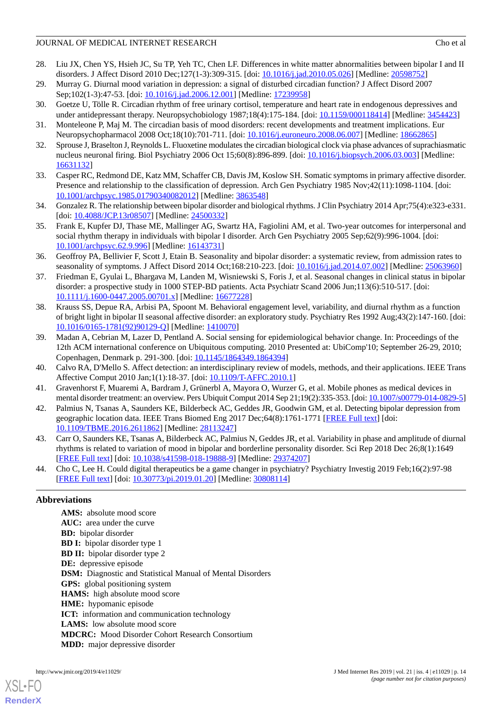- <span id="page-13-0"></span>28. Liu JX, Chen YS, Hsieh JC, Su TP, Yeh TC, Chen LF. Differences in white matter abnormalities between bipolar I and II disorders. J Affect Disord 2010 Dec;127(1-3):309-315. [doi: [10.1016/j.jad.2010.05.026](http://dx.doi.org/10.1016/j.jad.2010.05.026)] [Medline: [20598752](http://www.ncbi.nlm.nih.gov/entrez/query.fcgi?cmd=Retrieve&db=PubMed&list_uids=20598752&dopt=Abstract)]
- <span id="page-13-2"></span><span id="page-13-1"></span>29. Murray G. Diurnal mood variation in depression: a signal of disturbed circadian function? J Affect Disord 2007 Sep;102(1-3):47-53. [doi: [10.1016/j.jad.2006.12.001](http://dx.doi.org/10.1016/j.jad.2006.12.001)] [Medline: [17239958\]](http://www.ncbi.nlm.nih.gov/entrez/query.fcgi?cmd=Retrieve&db=PubMed&list_uids=17239958&dopt=Abstract)
- <span id="page-13-3"></span>30. Goetze U, Tölle R. Circadian rhythm of free urinary cortisol, temperature and heart rate in endogenous depressives and under antidepressant therapy. Neuropsychobiology 1987;18(4):175-184. [doi: [10.1159/000118414](http://dx.doi.org/10.1159/000118414)] [Medline: [3454423](http://www.ncbi.nlm.nih.gov/entrez/query.fcgi?cmd=Retrieve&db=PubMed&list_uids=3454423&dopt=Abstract)]
- <span id="page-13-4"></span>31. Monteleone P, Maj M. The circadian basis of mood disorders: recent developments and treatment implications. Eur Neuropsychopharmacol 2008 Oct;18(10):701-711. [doi: [10.1016/j.euroneuro.2008.06.007](http://dx.doi.org/10.1016/j.euroneuro.2008.06.007)] [Medline: [18662865\]](http://www.ncbi.nlm.nih.gov/entrez/query.fcgi?cmd=Retrieve&db=PubMed&list_uids=18662865&dopt=Abstract)
- <span id="page-13-5"></span>32. Sprouse J, Braselton J, Reynolds L. Fluoxetine modulates the circadian biological clock via phase advances of suprachiasmatic nucleus neuronal firing. Biol Psychiatry 2006 Oct 15;60(8):896-899. [doi: [10.1016/j.biopsych.2006.03.003](http://dx.doi.org/10.1016/j.biopsych.2006.03.003)] [Medline: [16631132](http://www.ncbi.nlm.nih.gov/entrez/query.fcgi?cmd=Retrieve&db=PubMed&list_uids=16631132&dopt=Abstract)]
- <span id="page-13-6"></span>33. Casper RC, Redmond DE, Katz MM, Schaffer CB, Davis JM, Koslow SH. Somatic symptoms in primary affective disorder. Presence and relationship to the classification of depression. Arch Gen Psychiatry 1985 Nov;42(11):1098-1104. [doi: [10.1001/archpsyc.1985.01790340082012](http://dx.doi.org/10.1001/archpsyc.1985.01790340082012)] [Medline: [3863548](http://www.ncbi.nlm.nih.gov/entrez/query.fcgi?cmd=Retrieve&db=PubMed&list_uids=3863548&dopt=Abstract)]
- <span id="page-13-7"></span>34. Gonzalez R. The relationship between bipolar disorder and biological rhythms. J Clin Psychiatry 2014 Apr;75(4):e323-e331. [doi: [10.4088/JCP.13r08507](http://dx.doi.org/10.4088/JCP.13r08507)] [Medline: [24500332\]](http://www.ncbi.nlm.nih.gov/entrez/query.fcgi?cmd=Retrieve&db=PubMed&list_uids=24500332&dopt=Abstract)
- <span id="page-13-8"></span>35. Frank E, Kupfer DJ, Thase ME, Mallinger AG, Swartz HA, Fagiolini AM, et al. Two-year outcomes for interpersonal and social rhythm therapy in individuals with bipolar I disorder. Arch Gen Psychiatry 2005 Sep;62(9):996-1004. [doi: [10.1001/archpsyc.62.9.996\]](http://dx.doi.org/10.1001/archpsyc.62.9.996) [Medline: [16143731\]](http://www.ncbi.nlm.nih.gov/entrez/query.fcgi?cmd=Retrieve&db=PubMed&list_uids=16143731&dopt=Abstract)
- <span id="page-13-9"></span>36. Geoffroy PA, Bellivier F, Scott J, Etain B. Seasonality and bipolar disorder: a systematic review, from admission rates to seasonality of symptoms. J Affect Disord 2014 Oct;168:210-223. [doi: [10.1016/j.jad.2014.07.002\]](http://dx.doi.org/10.1016/j.jad.2014.07.002) [Medline: [25063960\]](http://www.ncbi.nlm.nih.gov/entrez/query.fcgi?cmd=Retrieve&db=PubMed&list_uids=25063960&dopt=Abstract)
- <span id="page-13-10"></span>37. Friedman E, Gyulai L, Bhargava M, Landen M, Wisniewski S, Foris J, et al. Seasonal changes in clinical status in bipolar disorder: a prospective study in 1000 STEP-BD patients. Acta Psychiatr Scand 2006 Jun;113(6):510-517. [doi: [10.1111/j.1600-0447.2005.00701.x\]](http://dx.doi.org/10.1111/j.1600-0447.2005.00701.x) [Medline: [16677228\]](http://www.ncbi.nlm.nih.gov/entrez/query.fcgi?cmd=Retrieve&db=PubMed&list_uids=16677228&dopt=Abstract)
- <span id="page-13-11"></span>38. Krauss SS, Depue RA, Arbisi PA, Spoont M. Behavioral engagement level, variability, and diurnal rhythm as a function of bright light in bipolar II seasonal affective disorder: an exploratory study. Psychiatry Res 1992 Aug;43(2):147-160. [doi: [10.1016/0165-1781\(92\)90129-Q](http://dx.doi.org/10.1016/0165-1781(92)90129-Q)] [Medline: [1410070](http://www.ncbi.nlm.nih.gov/entrez/query.fcgi?cmd=Retrieve&db=PubMed&list_uids=1410070&dopt=Abstract)]
- <span id="page-13-13"></span><span id="page-13-12"></span>39. Madan A, Cebrian M, Lazer D, Pentland A. Social sensing for epidemiological behavior change. In: Proceedings of the 12th ACM international conference on Ubiquitous computing. 2010 Presented at: UbiComp'10; September 26-29, 2010; Copenhagen, Denmark p. 291-300. [doi: [10.1145/1864349.1864394\]](http://dx.doi.org/10.1145/1864349.1864394)
- <span id="page-13-14"></span>40. Calvo RA, D'Mello S. Affect detection: an interdisciplinary review of models, methods, and their applications. IEEE Trans Affective Comput 2010 Jan;1(1):18-37. [doi: [10.1109/T-AFFC.2010.1](http://dx.doi.org/10.1109/T-AFFC.2010.1)]
- <span id="page-13-15"></span>41. Gravenhorst F, Muaremi A, Bardram J, Grünerbl A, Mayora O, Wurzer G, et al. Mobile phones as medical devices in mental disorder treatment: an overview. Pers Ubiquit Comput 2014 Sep 21;19(2):335-353. [doi: [10.1007/s00779-014-0829-5](http://dx.doi.org/10.1007/s00779-014-0829-5)]
- <span id="page-13-16"></span>42. Palmius N, Tsanas A, Saunders KE, Bilderbeck AC, Geddes JR, Goodwin GM, et al. Detecting bipolar depression from geographic location data. IEEE Trans Biomed Eng 2017 Dec;64(8):1761-1771 [[FREE Full text](http://europepmc.org/abstract/MED/28113247)] [doi: [10.1109/TBME.2016.2611862\]](http://dx.doi.org/10.1109/TBME.2016.2611862) [Medline: [28113247](http://www.ncbi.nlm.nih.gov/entrez/query.fcgi?cmd=Retrieve&db=PubMed&list_uids=28113247&dopt=Abstract)]
- 43. Carr O, Saunders KE, Tsanas A, Bilderbeck AC, Palmius N, Geddes JR, et al. Variability in phase and amplitude of diurnal rhythms is related to variation of mood in bipolar and borderline personality disorder. Sci Rep 2018 Dec 26;8(1):1649 [[FREE Full text](http://dx.doi.org/10.1038/s41598-018-19888-9)] [doi: [10.1038/s41598-018-19888-9\]](http://dx.doi.org/10.1038/s41598-018-19888-9) [Medline: [29374207](http://www.ncbi.nlm.nih.gov/entrez/query.fcgi?cmd=Retrieve&db=PubMed&list_uids=29374207&dopt=Abstract)]
- 44. Cho C, Lee H. Could digital therapeutics be a game changer in psychiatry? Psychiatry Investig 2019 Feb;16(2):97-98 [[FREE Full text](http://psychiatryinvestigation.org/journal/view.php?doi=10.30773/pi.2019.01.20)] [doi: [10.30773/pi.2019.01.20](http://dx.doi.org/10.30773/pi.2019.01.20)] [Medline: [30808114\]](http://www.ncbi.nlm.nih.gov/entrez/query.fcgi?cmd=Retrieve&db=PubMed&list_uids=30808114&dopt=Abstract)

#### **Abbreviations**

**AMS:** absolute mood score **AUC:** area under the curve **BD:** bipolar disorder **BD I:** bipolar disorder type 1 **BD II:** bipolar disorder type 2 **DE:** depressive episode **DSM:** Diagnostic and Statistical Manual of Mental Disorders **GPS:** global positioning system **HAMS:** high absolute mood score **HME:** hypomanic episode **ICT:** information and communication technology LAMS: low absolute mood score **MDCRC:** Mood Disorder Cohort Research Consortium **MDD:** major depressive disorder